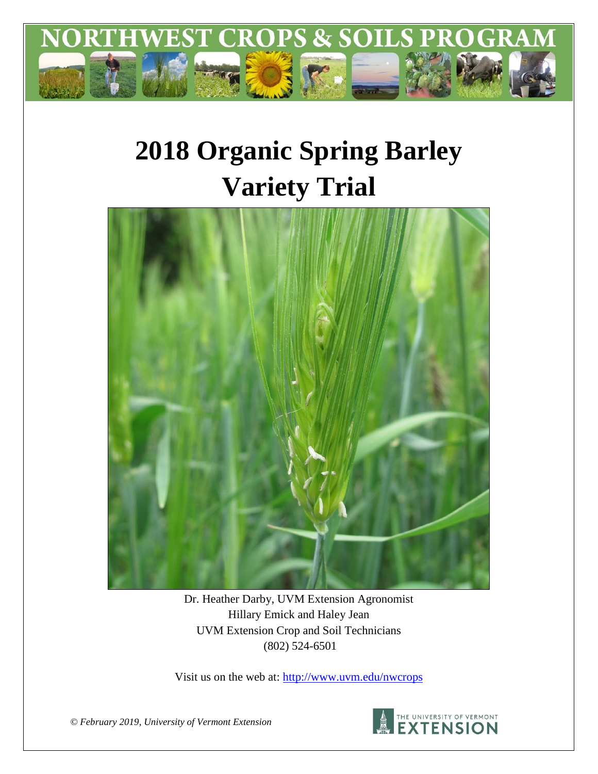

# **2018 Organic Spring Barley Variety Trial**



Dr. Heather Darby, UVM Extension Agronomist Hillary Emick and Haley Jean UVM Extension Crop and Soil Technicians (802) 524-6501

Visit us on the web at:<http://www.uvm.edu/nwcrops>



*© February 2019, University of Vermont Extension*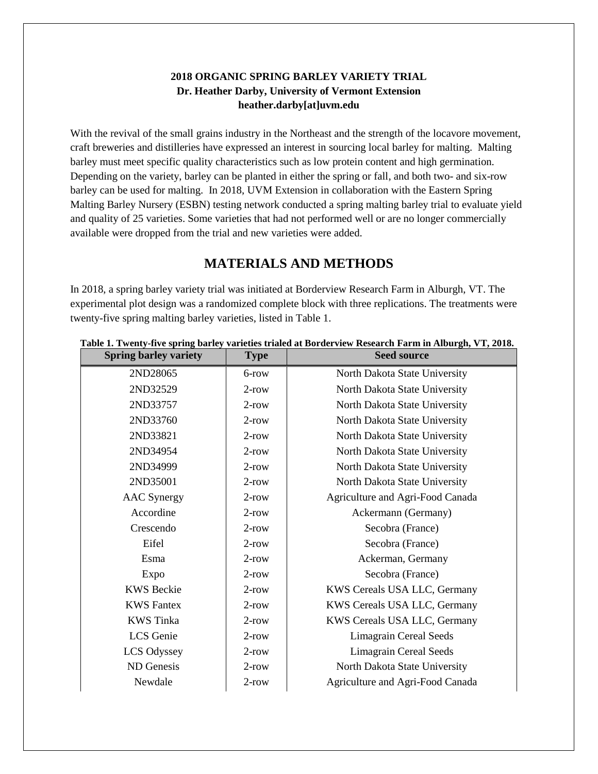#### **2018 ORGANIC SPRING BARLEY VARIETY TRIAL Dr. Heather Darby, University of Vermont Extension heather.darby[at]uvm.edu**

With the revival of the small grains industry in the Northeast and the strength of the locavore movement, craft breweries and distilleries have expressed an interest in sourcing local barley for malting. Malting barley must meet specific quality characteristics such as low protein content and high germination. Depending on the variety, barley can be planted in either the spring or fall, and both two- and six-row barley can be used for malting. In 2018, UVM Extension in collaboration with the Eastern Spring Malting Barley Nursery (ESBN) testing network conducted a spring malting barley trial to evaluate yield and quality of 25 varieties. Some varieties that had not performed well or are no longer commercially available were dropped from the trial and new varieties were added.

## **MATERIALS AND METHODS**

In 2018, a spring barley variety trial was initiated at Borderview Research Farm in Alburgh, VT. The experimental plot design was a randomized complete block with three replications. The treatments were twenty-five spring malting barley varieties, listed in Table 1.

| <b>Type</b> | <b>Seed source</b>               |  |  |  |
|-------------|----------------------------------|--|--|--|
| 6-row       | North Dakota State University    |  |  |  |
| $2$ -row    | North Dakota State University    |  |  |  |
| $2$ -row    | North Dakota State University    |  |  |  |
| $2$ -row    | North Dakota State University    |  |  |  |
| $2$ -row    | North Dakota State University    |  |  |  |
| $2$ -row    | North Dakota State University    |  |  |  |
| $2$ -row    | North Dakota State University    |  |  |  |
| $2$ -row    | North Dakota State University    |  |  |  |
| $2$ -row    | Agriculture and Agri-Food Canada |  |  |  |
| $2$ -row    | Ackermann (Germany)              |  |  |  |
| $2$ -row    | Secobra (France)                 |  |  |  |
| $2$ -row    | Secobra (France)                 |  |  |  |
| $2$ -row    | Ackerman, Germany                |  |  |  |
| $2$ -row    | Secobra (France)                 |  |  |  |
| $2$ -row    | KWS Cereals USA LLC, Germany     |  |  |  |
| $2$ -row    | KWS Cereals USA LLC, Germany     |  |  |  |
| $2$ -row    | KWS Cereals USA LLC, Germany     |  |  |  |
| $2$ -row    | <b>Limagrain Cereal Seeds</b>    |  |  |  |
| $2$ -row    | <b>Limagrain Cereal Seeds</b>    |  |  |  |
| $2$ -row    | North Dakota State University    |  |  |  |
| $2$ -row    | Agriculture and Agri-Food Canada |  |  |  |
|             |                                  |  |  |  |

#### **Table 1. Twenty-five spring barley varieties trialed at Borderview Research Farm in Alburgh, VT, 2018.**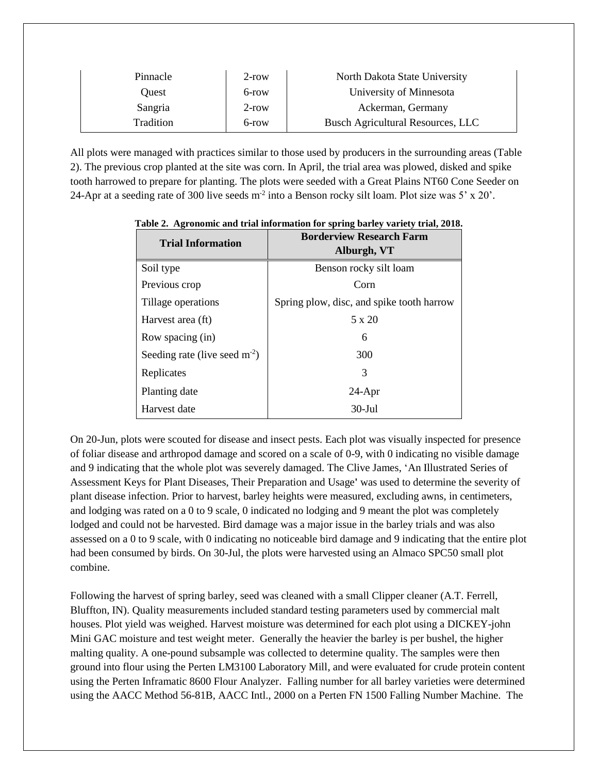| Pinnacle  | $2$ -row | North Dakota State University     |
|-----------|----------|-----------------------------------|
| Ouest     | 6-row    | University of Minnesota           |
| Sangria   | $2$ -row | Ackerman, Germany                 |
| Tradition | 6-row    | Busch Agricultural Resources, LLC |

All plots were managed with practices similar to those used by producers in the surrounding areas (Table 2). The previous crop planted at the site was corn. In April, the trial area was plowed, disked and spike tooth harrowed to prepare for planting. The plots were seeded with a Great Plains NT60 Cone Seeder on 24-Apr at a seeding rate of 300 live seeds  $m<sup>2</sup>$  into a Benson rocky silt loam. Plot size was 5' x 20'.

| <b>Trial Information</b>           | <b>Borderview Research Farm</b><br>Alburgh, VT |  |  |  |  |
|------------------------------------|------------------------------------------------|--|--|--|--|
| Soil type                          | Benson rocky silt loam                         |  |  |  |  |
| Previous crop                      | Corn                                           |  |  |  |  |
| Tillage operations                 | Spring plow, disc, and spike tooth harrow      |  |  |  |  |
| Harvest area (ft)                  | $5 \times 20$                                  |  |  |  |  |
| Row spacing (in)                   | 6                                              |  |  |  |  |
| Seeding rate (live seed $m^{-2}$ ) | 300                                            |  |  |  |  |
| Replicates                         | 3                                              |  |  |  |  |
| Planting date                      | $24-Apr$                                       |  |  |  |  |
| Harvest date                       | $30 - \text{Jul}$                              |  |  |  |  |

**Table 2. Agronomic and trial information for spring barley variety trial, 2018.**

On 20-Jun, plots were scouted for disease and insect pests. Each plot was visually inspected for presence of foliar disease and arthropod damage and scored on a scale of 0-9, with 0 indicating no visible damage and 9 indicating that the whole plot was severely damaged. The Clive James, 'An Illustrated Series of Assessment Keys for Plant Diseases, Their Preparation and Usage**'** was used to determine the severity of plant disease infection. Prior to harvest, barley heights were measured, excluding awns, in centimeters, and lodging was rated on a 0 to 9 scale, 0 indicated no lodging and 9 meant the plot was completely lodged and could not be harvested. Bird damage was a major issue in the barley trials and was also assessed on a 0 to 9 scale, with 0 indicating no noticeable bird damage and 9 indicating that the entire plot had been consumed by birds. On 30-Jul, the plots were harvested using an Almaco SPC50 small plot combine.

Following the harvest of spring barley, seed was cleaned with a small Clipper cleaner (A.T. Ferrell, Bluffton, IN). Quality measurements included standard testing parameters used by commercial malt houses. Plot yield was weighed. Harvest moisture was determined for each plot using a DICKEY-john Mini GAC moisture and test weight meter. Generally the heavier the barley is per bushel, the higher malting quality. A one-pound subsample was collected to determine quality. The samples were then ground into flour using the Perten LM3100 Laboratory Mill, and were evaluated for crude protein content using the Perten Inframatic 8600 Flour Analyzer. Falling number for all barley varieties were determined using the AACC Method 56-81B, AACC Intl., 2000 on a Perten FN 1500 Falling Number Machine. The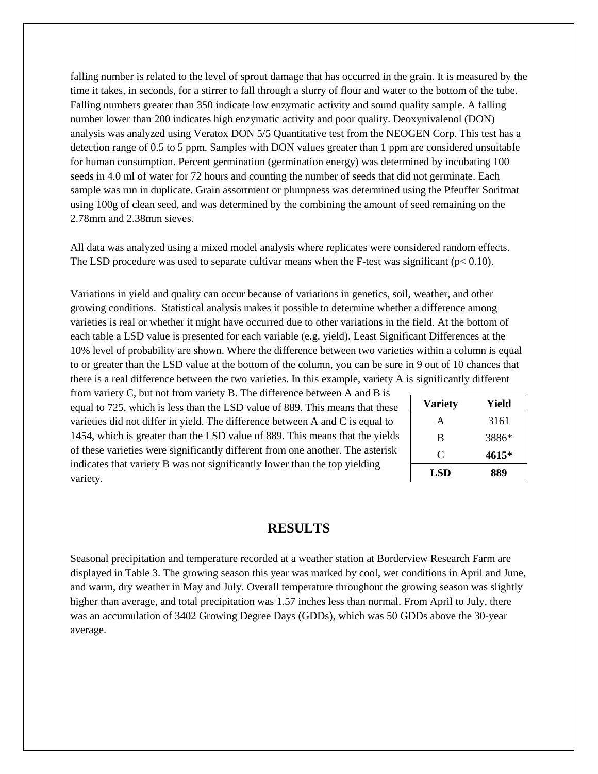falling number is related to the level of sprout damage that has occurred in the grain. It is measured by the time it takes, in seconds, for a stirrer to fall through a slurry of flour and water to the bottom of the tube. Falling numbers greater than 350 indicate low enzymatic activity and sound quality sample. A falling number lower than 200 indicates high enzymatic activity and poor quality. Deoxynivalenol (DON) analysis was analyzed using Veratox DON 5/5 Quantitative test from the NEOGEN Corp. This test has a detection range of 0.5 to 5 ppm. Samples with DON values greater than 1 ppm are considered unsuitable for human consumption. Percent germination (germination energy) was determined by incubating 100 seeds in 4.0 ml of water for 72 hours and counting the number of seeds that did not germinate. Each sample was run in duplicate. Grain assortment or plumpness was determined using the Pfeuffer Soritmat using 100g of clean seed, and was determined by the combining the amount of seed remaining on the 2.78mm and 2.38mm sieves.

All data was analyzed using a mixed model analysis where replicates were considered random effects. The LSD procedure was used to separate cultivar means when the F-test was significant ( $p < 0.10$ ).

Variations in yield and quality can occur because of variations in genetics, soil, weather, and other growing conditions. Statistical analysis makes it possible to determine whether a difference among varieties is real or whether it might have occurred due to other variations in the field. At the bottom of each table a LSD value is presented for each variable (e.g. yield). Least Significant Differences at the 10% level of probability are shown. Where the difference between two varieties within a column is equal to or greater than the LSD value at the bottom of the column, you can be sure in 9 out of 10 chances that there is a real difference between the two varieties. In this example, variety A is significantly different

from variety C, but not from variety B. The difference between A and B is equal to 725, which is less than the LSD value of 889. This means that these varieties did not differ in yield. The difference between A and C is equal to 1454, which is greater than the LSD value of 889. This means that the yields of these varieties were significantly different from one another. The asterisk indicates that variety B was not significantly lower than the top yielding variety.

| <b>Variety</b> | Yield |  |  |  |  |
|----------------|-------|--|--|--|--|
| A              | 3161  |  |  |  |  |
| B              | 3886* |  |  |  |  |
| C              | 4615* |  |  |  |  |
| LSD            | 889   |  |  |  |  |

## **RESULTS**

Seasonal precipitation and temperature recorded at a weather station at Borderview Research Farm are displayed in Table 3. The growing season this year was marked by cool, wet conditions in April and June, and warm, dry weather in May and July. Overall temperature throughout the growing season was slightly higher than average, and total precipitation was 1.57 inches less than normal. From April to July, there was an accumulation of 3402 Growing Degree Days (GDDs), which was 50 GDDs above the 30-year average.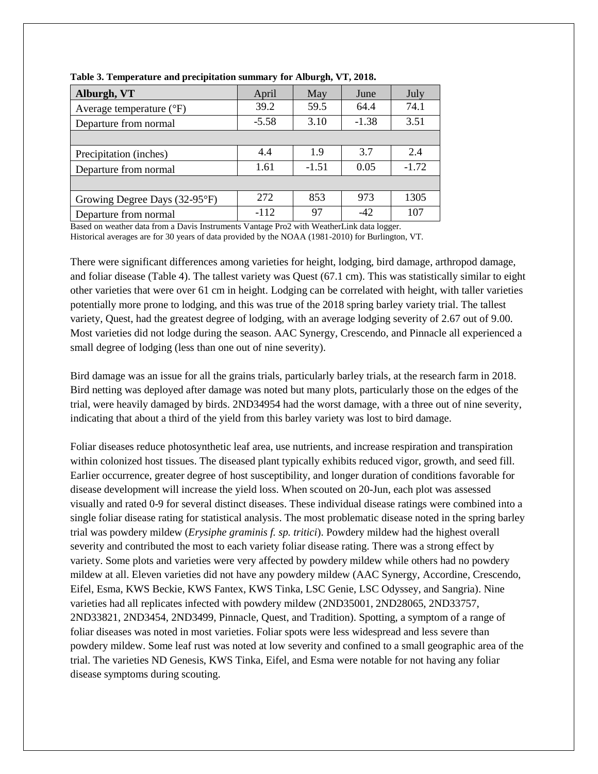| Alburgh, VT                       | April   | May     | June    | July    |
|-----------------------------------|---------|---------|---------|---------|
| Average temperature $(^{\circ}F)$ | 39.2    | 59.5    | 64.4    | 74.1    |
| Departure from normal             | $-5.58$ | 3.10    | $-1.38$ | 3.51    |
|                                   |         |         |         |         |
| Precipitation (inches)            | 4.4     | 1.9     | 3.7     | 2.4     |
| Departure from normal             | 1.61    | $-1.51$ | 0.05    | $-1.72$ |
|                                   |         |         |         |         |
| Growing Degree Days (32-95°F)     | 272     | 853     | 973     | 1305    |
| Departure from normal             | $-112$  | 97      | -42     | 107     |

**Table 3. Temperature and precipitation summary for Alburgh, VT, 2018.**

Based on weather data from a Davis Instruments Vantage Pro2 with WeatherLink data logger.

Historical averages are for 30 years of data provided by the NOAA (1981-2010) for Burlington, VT.

There were significant differences among varieties for height, lodging, bird damage, arthropod damage, and foliar disease (Table 4). The tallest variety was Quest (67.1 cm). This was statistically similar to eight other varieties that were over 61 cm in height. Lodging can be correlated with height, with taller varieties potentially more prone to lodging, and this was true of the 2018 spring barley variety trial. The tallest variety, Quest, had the greatest degree of lodging, with an average lodging severity of 2.67 out of 9.00. Most varieties did not lodge during the season. AAC Synergy, Crescendo, and Pinnacle all experienced a small degree of lodging (less than one out of nine severity).

Bird damage was an issue for all the grains trials, particularly barley trials, at the research farm in 2018. Bird netting was deployed after damage was noted but many plots, particularly those on the edges of the trial, were heavily damaged by birds. 2ND34954 had the worst damage, with a three out of nine severity, indicating that about a third of the yield from this barley variety was lost to bird damage.

Foliar diseases reduce photosynthetic leaf area, use nutrients, and increase respiration and transpiration within colonized host tissues. The diseased plant typically exhibits reduced vigor, growth, and seed fill. Earlier occurrence, greater degree of host susceptibility, and longer duration of conditions favorable for disease development will increase the yield loss. When scouted on 20-Jun, each plot was assessed visually and rated 0-9 for several distinct diseases. These individual disease ratings were combined into a single foliar disease rating for statistical analysis. The most problematic disease noted in the spring barley trial was powdery mildew (*Erysiphe graminis f. sp. tritici*). Powdery mildew had the highest overall severity and contributed the most to each variety foliar disease rating. There was a strong effect by variety. Some plots and varieties were very affected by powdery mildew while others had no powdery mildew at all. Eleven varieties did not have any powdery mildew (AAC Synergy, Accordine, Crescendo, Eifel, Esma, KWS Beckie, KWS Fantex, KWS Tinka, LSC Genie, LSC Odyssey, and Sangria). Nine varieties had all replicates infected with powdery mildew (2ND35001, 2ND28065, 2ND33757, 2ND33821, 2ND3454, 2ND3499, Pinnacle, Quest, and Tradition). Spotting, a symptom of a range of foliar diseases was noted in most varieties. Foliar spots were less widespread and less severe than powdery mildew. Some leaf rust was noted at low severity and confined to a small geographic area of the trial. The varieties ND Genesis, KWS Tinka, Eifel, and Esma were notable for not having any foliar disease symptoms during scouting.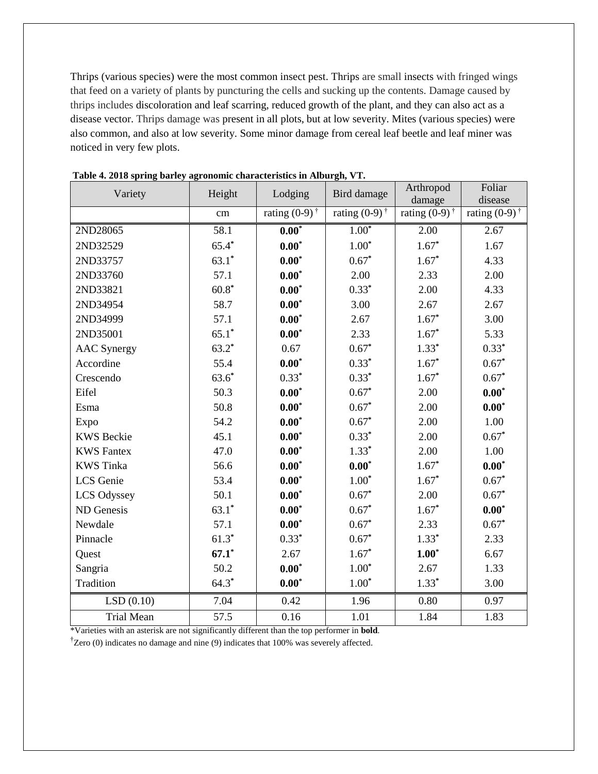Thrips (various species) were the most common insect pest. Thrips are small insects with fringed wings that feed on a variety of plants by puncturing the cells and sucking up the contents. Damage caused by thrips includes discoloration and leaf scarring, reduced growth of the plant, and they can also act as a disease vector. Thrips damage was present in all plots, but at low severity. Mites (various species) were also common, and also at low severity. Some minor damage from cereal leaf beetle and leaf miner was noticed in very few plots.

| Variety            | Height  | Lodging                     | Bird damage                 | Arthropod<br>damage          | Foliar<br>disease        |
|--------------------|---------|-----------------------------|-----------------------------|------------------------------|--------------------------|
|                    | cm      | rating $(0-9)$ <sup>†</sup> | rating $(0-9)$ <sup>†</sup> | rating $(0-9)^{\frac{1}{3}}$ | rating $(0-9)^{\dagger}$ |
| 2ND28065           | 58.1    | $0.00*$                     | $1.00*$                     | 2.00                         | 2.67                     |
| 2ND32529           | $65.4*$ | $0.00*$                     | $1.00*$                     | $1.67*$                      | 1.67                     |
| 2ND33757           | $63.1*$ | $0.00*$                     | $0.67*$                     | $1.67*$                      | 4.33                     |
| 2ND33760           | 57.1    | $0.00*$                     | 2.00                        | 2.33                         | 2.00                     |
| 2ND33821           | $60.8*$ | $0.00^*$                    | $0.33*$                     | 2.00                         | 4.33                     |
| 2ND34954           | 58.7    | $0.00*$                     | 3.00                        | 2.67                         | 2.67                     |
| 2ND34999           | 57.1    | $0.00*$                     | 2.67                        | $1.67*$                      | 3.00                     |
| 2ND35001           | $65.1*$ | $0.00*$                     | 2.33                        | $1.67*$                      | 5.33                     |
| <b>AAC</b> Synergy | $63.2*$ | 0.67                        | $0.67*$                     | $1.33*$                      | $0.33*$                  |
| Accordine          | 55.4    | $0.00*$                     | $0.33*$                     | $1.67*$                      | $0.67*$                  |
| Crescendo          | $63.6*$ | $0.33*$                     | $0.33*$                     | $1.67*$                      | $0.67*$                  |
| Eifel              | 50.3    | $0.00*$                     | $0.67*$                     | 2.00                         | $0.00*$                  |
| Esma               | 50.8    | $0.00^{\ast}$               | $0.67*$                     | 2.00                         | $0.00^*$                 |
| Expo               | 54.2    | $0.00*$                     | $0.67*$                     | 2.00                         | 1.00                     |
| <b>KWS</b> Beckie  | 45.1    | $0.00*$                     | $0.33*$                     | 2.00                         | $0.67*$                  |
| <b>KWS Fantex</b>  | 47.0    | $0.00*$                     | $1.33*$                     | 2.00                         | 1.00                     |
| <b>KWS</b> Tinka   | 56.6    | $0.00*$                     | $0.00*$                     | $1.67*$                      | $0.00*$                  |
| <b>LCS</b> Genie   | 53.4    | $0.00*$                     | $1.00*$                     | $1.67*$                      | $0.67*$                  |
| LCS Odyssey        | 50.1    | $0.00*$                     | $0.67*$                     | 2.00                         | $0.67*$                  |
| ND Genesis         | $63.1*$ | $0.00*$                     | $0.67*$                     | $1.67*$                      | $0.00*$                  |
| Newdale            | 57.1    | $0.00*$                     | $0.67*$                     | 2.33                         | $0.67*$                  |
| Pinnacle           | $61.3*$ | $0.33*$                     | $0.67*$                     | $1.33*$                      | 2.33                     |
| Quest              | $67.1*$ | 2.67                        | $1.67*$                     | $1.00^*$                     | 6.67                     |
| Sangria            | 50.2    | $0.00*$                     | $1.00*$                     | 2.67                         | 1.33                     |
| Tradition          | $64.3*$ | $0.00*$                     | $1.00*$                     | $1.33*$                      | 3.00                     |
| LSD(0.10)          | 7.04    | 0.42                        | 1.96                        | 0.80                         | 0.97                     |
| <b>Trial Mean</b>  | 57.5    | 0.16                        | 1.01                        | 1.84                         | 1.83                     |

|  |  |  | Table 4. 2018 spring barley agronomic characteristics in Alburgh, VT. |  |
|--|--|--|-----------------------------------------------------------------------|--|
|  |  |  |                                                                       |  |

\*Varieties with an asterisk are not significantly different than the top performer in **bold**.

†Zero (0) indicates no damage and nine (9) indicates that 100% was severely affected.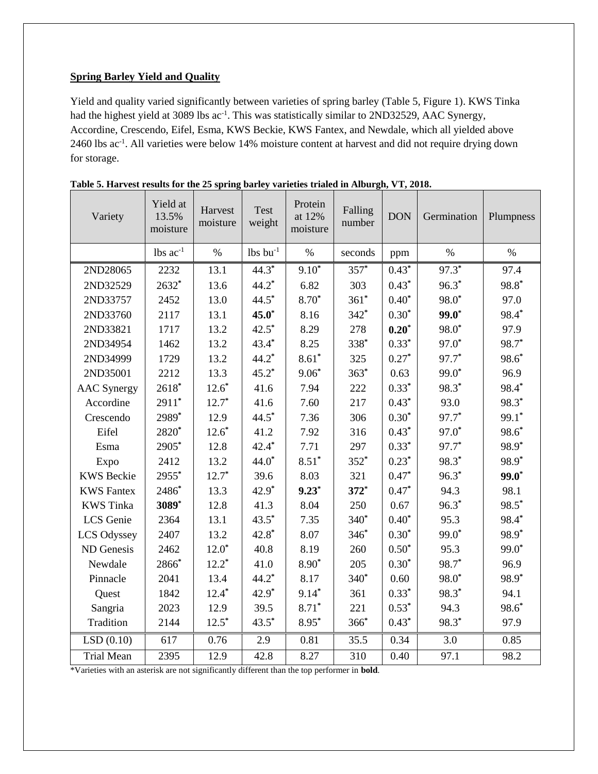#### **Spring Barley Yield and Quality**

Yield and quality varied significantly between varieties of spring barley (Table 5, Figure 1). KWS Tinka had the highest yield at 3089 lbs ac<sup>-1</sup>. This was statistically similar to 2ND32529, AAC Synergy, Accordine, Crescendo, Eifel, Esma, KWS Beckie, KWS Fantex, and Newdale, which all yielded above 2460 lbs ac<sup>-1</sup>. All varieties were below 14% moisture content at harvest and did not require drying down for storage.

| Variety            | Yield at<br>13.5%<br>moisture | Harvest<br>moisture | Test<br>weight   | Protein<br>at 12%<br>moisture | Falling<br>number | <b>DON</b> | Germination       | Plumpness         |
|--------------------|-------------------------------|---------------------|------------------|-------------------------------|-------------------|------------|-------------------|-------------------|
|                    | $lbs$ $ac^{-1}$               | $\%$                | $lbs$ bu $^{-1}$ | $\%$                          | seconds           | ppm        | $\%$              | $\%$              |
| 2ND28065           | 2232                          | 13.1                | $44.3*$          | $9.10*$                       | $357*$            | $0.43*$    | $97.3*$           | 97.4              |
| 2ND32529           | 2632*                         | 13.6                | $44.2*$          | 6.82                          | 303               | $0.43*$    | $96.3*$           | $98.8*$           |
| 2ND33757           | 2452                          | 13.0                | $44.5*$          | 8.70*                         | $361*$            | $0.40*$    | 98.0 <sup>*</sup> | 97.0              |
| 2ND33760           | 2117                          | 13.1                | $45.0*$          | 8.16                          | $342*$            | $0.30*$    | $99.0*$           | 98.4*             |
| 2ND33821           | 1717                          | 13.2                | $42.5^*$         | 8.29                          | 278               | $0.20*$    | 98.0 <sup>*</sup> | 97.9              |
| 2ND34954           | 1462                          | 13.2                | $43.4*$          | 8.25                          | 338*              | $0.33*$    | $97.0*$           | 98.7*             |
| 2ND34999           | 1729                          | 13.2                | $44.2*$          | $8.61*$                       | 325               | $0.27*$    | 97.7*             | $98.6*$           |
| 2ND35001           | 2212                          | 13.3                | $45.2*$          | $9.06*$                       | $363*$            | 0.63       | $99.0*$           | 96.9              |
| <b>AAC</b> Synergy | $2618*$                       | $12.6*$             | 41.6             | 7.94                          | 222               | $0.33*$    | 98.3 <sup>*</sup> | 98.4*             |
| Accordine          | $2911*$                       | $12.7*$             | 41.6             | 7.60                          | 217               | $0.43*$    | 93.0              | 98.3*             |
| Crescendo          | 2989*                         | 12.9                | $44.5*$          | 7.36                          | 306               | $0.30*$    | 97.7*             | 99.1*             |
| Eifel              | 2820*                         | $12.6*$             | 41.2             | 7.92                          | 316               | $0.43*$    | $97.0*$           | 98.6*             |
| Esma               | 2905*                         | 12.8                | $42.4*$          | 7.71                          | 297               | $0.33*$    | 97.7*             | 98.9 <sup>*</sup> |
| Expo               | 2412                          | 13.2                | $44.0*$          | $8.51*$                       | $352*$            | $0.23*$    | 98.3*             | 98.9 <sup>*</sup> |
| <b>KWS Beckie</b>  | 2955*                         | $12.7*$             | 39.6             | 8.03                          | 321               | $0.47*$    | $96.3*$           | $99.0*$           |
| <b>KWS Fantex</b>  | 2486*                         | 13.3                | $42.9*$          | $9.23*$                       | $372*$            | $0.47*$    | 94.3              | 98.1              |
| <b>KWS</b> Tinka   | 3089*                         | 12.8                | 41.3             | 8.04                          | 250               | 0.67       | $96.3*$           | 98.5*             |
| LCS Genie          | 2364                          | 13.1                | $43.5*$          | 7.35                          | $340*$            | $0.40*$    | 95.3              | 98.4*             |
| <b>LCS Odyssey</b> | 2407                          | 13.2                | $42.8*$          | 8.07                          | $346*$            | $0.30*$    | 99.0 <sup>*</sup> | 98.9 <sup>*</sup> |
| ND Genesis         | 2462                          | $12.0*$             | 40.8             | 8.19                          | 260               | $0.50*$    | 95.3              | $99.0*$           |
| Newdale            | 2866*                         | $12.2*$             | 41.0             | $8.90*$                       | 205               | $0.30*$    | 98.7*             | 96.9              |
| Pinnacle           | 2041                          | 13.4                | $44.2*$          | 8.17                          | 340*              | 0.60       | 98.0 <sup>*</sup> | 98.9*             |
| Quest              | 1842                          | $12.4*$             | $42.9*$          | $9.14*$                       | 361               | $0.33*$    | 98.3*             | 94.1              |
| Sangria            | 2023                          | 12.9                | 39.5             | $8.71*$                       | 221               | $0.53*$    | 94.3              | 98.6*             |
| Tradition          | 2144                          | $12.5*$             | $43.5*$          | $8.95*$                       | $366*$            | $0.43*$    | 98.3*             | 97.9              |
| LSD(0.10)          | 617                           | 0.76                | 2.9              | 0.81                          | 35.5              | 0.34       | 3.0               | 0.85              |
| <b>Trial Mean</b>  | 2395                          | 12.9                | 42.8             | 8.27                          | 310               | 0.40       | 97.1              | 98.2              |

**Table 5. Harvest results for the 25 spring barley varieties trialed in Alburgh, VT, 2018.**

\*Varieties with an asterisk are not significantly different than the top performer in **bold**.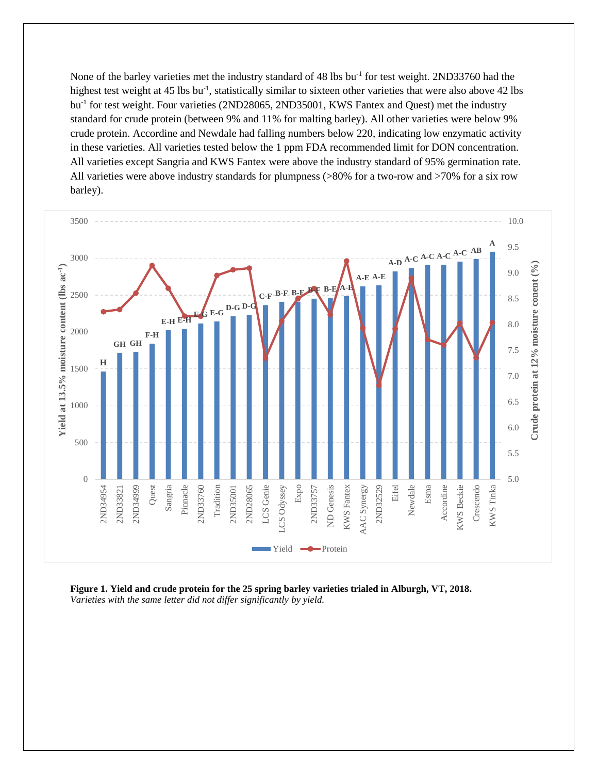None of the barley varieties met the industry standard of 48 lbs bu<sup>-1</sup> for test weight. 2ND33760 had the highest test weight at 45 lbs bu<sup>-1</sup>, statistically similar to sixteen other varieties that were also above 42 lbs bu<sup>-1</sup> for test weight. Four varieties (2ND28065, 2ND35001, KWS Fantex and Quest) met the industry standard for crude protein (between 9% and 11% for malting barley). All other varieties were below 9% crude protein. Accordine and Newdale had falling numbers below 220, indicating low enzymatic activity in these varieties. All varieties tested below the 1 ppm FDA recommended limit for DON concentration. All varieties except Sangria and KWS Fantex were above the industry standard of 95% germination rate. All varieties were above industry standards for plumpness (>80% for a two-row and >70% for a six row barley).



**Figure 1. Yield and crude protein for the 25 spring barley varieties trialed in Alburgh, VT, 2018.** *Varieties with the same letter did not differ significantly by yield.*